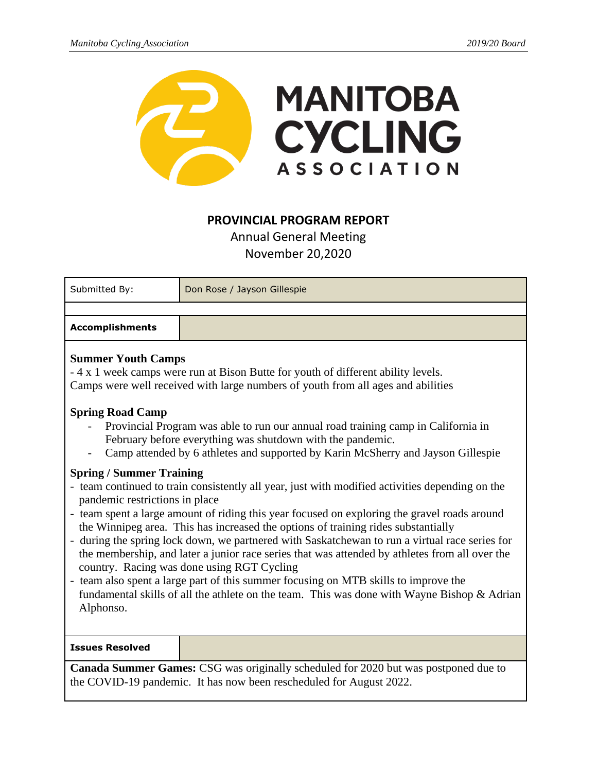

## **PROVINCIAL PROGRAM REPORT**

Annual General Meeting November 20,2020

| Submitted By:                                                                                                                                                                                                                                                                                                                                                                                                                                                                                                                                                                                                                                                                                                                                                                                                                                                                                      | Don Rose / Jayson Gillespie |
|----------------------------------------------------------------------------------------------------------------------------------------------------------------------------------------------------------------------------------------------------------------------------------------------------------------------------------------------------------------------------------------------------------------------------------------------------------------------------------------------------------------------------------------------------------------------------------------------------------------------------------------------------------------------------------------------------------------------------------------------------------------------------------------------------------------------------------------------------------------------------------------------------|-----------------------------|
|                                                                                                                                                                                                                                                                                                                                                                                                                                                                                                                                                                                                                                                                                                                                                                                                                                                                                                    |                             |
| <b>Accomplishments</b>                                                                                                                                                                                                                                                                                                                                                                                                                                                                                                                                                                                                                                                                                                                                                                                                                                                                             |                             |
| <b>Summer Youth Camps</b><br>- 4 x 1 week camps were run at Bison Butte for youth of different ability levels.<br>Camps were well received with large numbers of youth from all ages and abilities<br><b>Spring Road Camp</b><br>Provincial Program was able to run our annual road training camp in California in<br>February before everything was shutdown with the pandemic.                                                                                                                                                                                                                                                                                                                                                                                                                                                                                                                   |                             |
| Camp attended by 6 athletes and supported by Karin McSherry and Jayson Gillespie<br><b>Spring / Summer Training</b><br>- team continued to train consistently all year, just with modified activities depending on the<br>pandemic restrictions in place<br>- team spent a large amount of riding this year focused on exploring the gravel roads around<br>the Winnipeg area. This has increased the options of training rides substantially<br>- during the spring lock down, we partnered with Saskatchewan to run a virtual race series for<br>the membership, and later a junior race series that was attended by athletes from all over the<br>country. Racing was done using RGT Cycling<br>- team also spent a large part of this summer focusing on MTB skills to improve the<br>fundamental skills of all the athlete on the team. This was done with Wayne Bishop & Adrian<br>Alphonso. |                             |
| <b>Issues Resolved</b>                                                                                                                                                                                                                                                                                                                                                                                                                                                                                                                                                                                                                                                                                                                                                                                                                                                                             |                             |
| Canada Summer Games: CSG was originally scheduled for 2020 but was postponed due to<br>the COVID-19 pandemic. It has now been rescheduled for August 2022.                                                                                                                                                                                                                                                                                                                                                                                                                                                                                                                                                                                                                                                                                                                                         |                             |